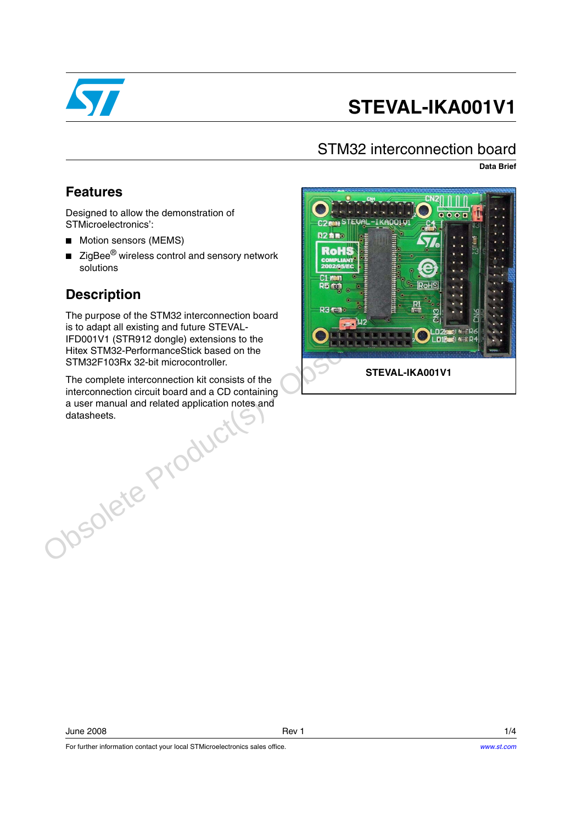

# **STEVAL-IKA001V1**

#### STM32 interconnection board

**Data Brief**

#### **Features**

Designed to allow the demonstration of STMicroelectronics':

- Motion sensors (MEMS)
- ZigBee<sup>®</sup> wireless control and sensory network solutions

#### **Description**

The purpose of the STM32 interconnection board is to adapt all existing and future STEVAL-IFD001V1 (STR912 dongle) extensions to the Hitex STM32-PerformanceStick based on the STM32F103Rx 32-bit microcontroller.

The complete interconnection kit consists of the interconnection circuit board and a CD containing a user manual and related application notes and datasheets.

For further information contact your local STMicroelectronics sales office.

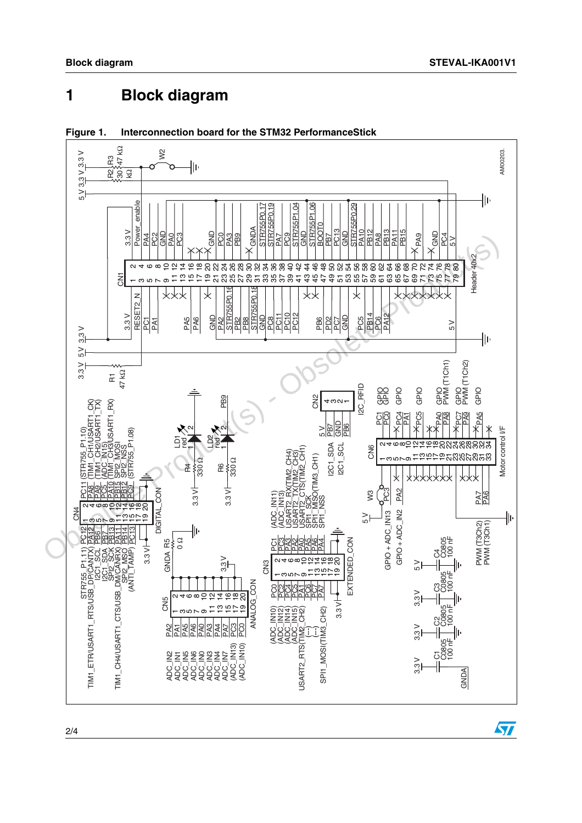### **1 Block diagram**





 $\sqrt{2}$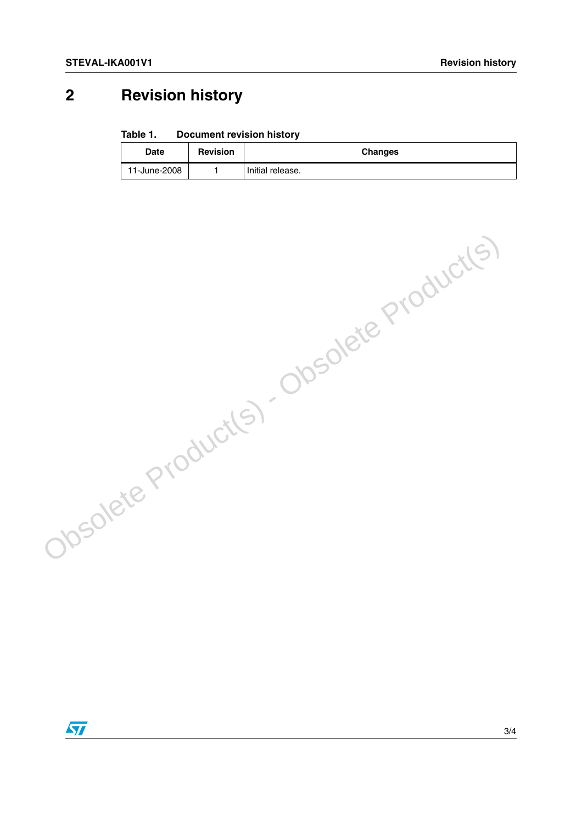## **2 Revision history**

#### Table 1. **Document revision history**

| Date         | <b>Revision</b> | <b>Changes</b>   |
|--------------|-----------------|------------------|
| 11-June-2008 |                 | Initial release. |

Obsolete Product(s) - Obsolete Product(s)